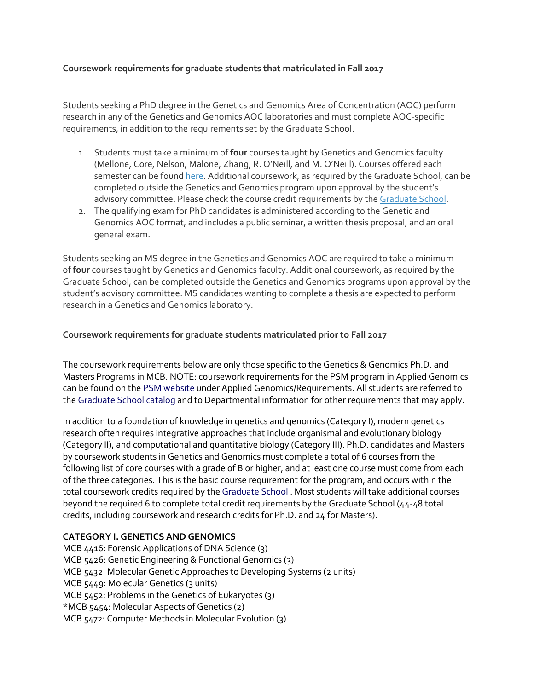# **Coursework requirements for graduate students that matriculated in Fall 2017**

Students seeking a PhD degree in the Genetics and Genomics Area of Concentration (AOC) perform research in any of the Genetics and Genomics AOC laboratories and must complete AOC-specific requirements, in addition to the requirements set by the Graduate School.

- 1. Students must take a minimum of **four** courses taught by Genetics and Genomics faculty (Mellone, Core, Nelson, Malone, Zhang, R. O'Neill, and M. O'Neill). Courses offered each semester can be found [here.](https://mcb.uconn.edu/courses/) Additional coursework, as required by the Graduate School, can be completed outside the Genetics and Genomics program upon approval by the student's advisory committee. Please check the course credit requirements by the [Graduate School.](https://gradcatalog.uconn.edu/)
- 2. The qualifying exam for PhD candidates is administered according to the Genetic and Genomics AOC format, and includes a public seminar, a written thesis proposal, and an oral general exam.

Students seeking an MS degree in the Genetics and Genomics AOC are required to take a minimum of **four** courses taught by Genetics and Genomics faculty. Additional coursework, as required by the Graduate School, can be completed outside the Genetics and Genomics programs upon approval by the student's advisory committee. MS candidates wanting to complete a thesis are expected to perform research in a Genetics and Genomics laboratory.

#### **Coursework requirements for graduate students matriculated prior to Fall 2017**

The coursework requirements below are only those specific to the Genetics & Genomics Ph.D. and Masters Programs in MCB. NOTE: coursework requirements for the PSM program in Applied Genomics can be found on the [PSM website](http://www.smasters.uconn.edu/index.htm) under Applied Genomics/Requirements. All students are referred to the [Graduate School catalog](http://catalog.grad.uconn.edu/) and to Departmental information for other requirements that may apply.

In addition to a foundation of knowledge in genetics and genomics (Category I), modern genetics research often requires integrative approaches that include organismal and evolutionary biology (Category II), and computational and quantitative biology (Category III). Ph.D. candidates and Masters by coursework students in Genetics and Genomics must complete a total of 6 courses from the following list of core courses with a grade of B or higher, and at least one course must come from each of the three categories. This is the basic course requirement for the program, and occurs within the total coursework credits required by the [Graduate School](http://catalog.grad.uconn.edu/) . Most students will take additional courses beyond the required 6 to complete total credit requirements by the Graduate School (44-48 total credits, including coursework and research credits for Ph.D. and 24 for Masters).

# **CATEGORY I. GENETICS AND GENOMICS**

MCB 4416: Forensic Applications of DNA Science (3) MCB 5426: Genetic Engineering & Functional Genomics (3) MCB 5432: Molecular Genetic Approaches to Developing Systems (2 units) MCB 5449: Molecular Genetics (3 units) MCB 5452: Problems in the Genetics of Eukaryotes (3) \*MCB 5454: Molecular Aspects of Genetics (2) MCB 5472: Computer Methods in Molecular Evolution (3)